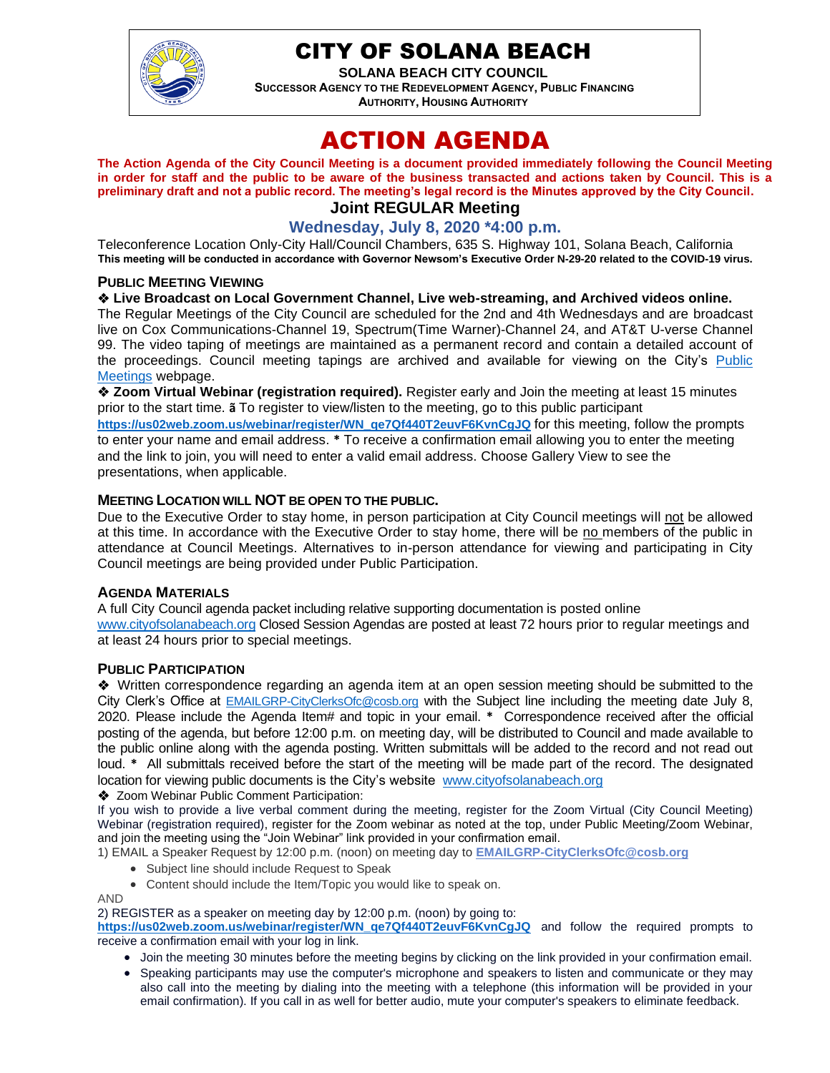

# CITY OF SOLANA BEACH

**SOLANA BEACH CITY COUNCIL SUCCESSOR AGENCY TO THE REDEVELOPMENT AGENCY, PUBLIC FINANCING AUTHORITY, HOUSING AUTHORITY** 

# ACTION AGENDA

**The Action Agenda of the City Council Meeting is a document provided immediately following the Council Meeting in order for staff and the public to be aware of the business transacted and actions taken by Council. This is a preliminary draft and not a public record. The meeting's legal record is the Minutes approved by the City Council. Joint REGULAR Meeting**

# **Wednesday, July 8, 2020 \*4:00 p.m.**

Teleconference Location Only-City Hall/Council Chambers, 635 S. Highway 101, Solana Beach, California **This meeting will be conducted in accordance with Governor Newsom's Executive Order N-29-20 related to the COVID-19 virus.**

#### **PUBLIC MEETING VIEWING**

❖ **Live Broadcast on Local Government Channel, Live web-streaming, and Archived videos online.**

The Regular Meetings of the City Council are scheduled for the 2nd and 4th Wednesdays and are broadcast live on Cox Communications-Channel 19, Spectrum(Time Warner)-Channel 24, and AT&T U-verse Channel 99. The video taping of meetings are maintained as a permanent record and contain a detailed account of the proceedings. Council meeting tapings are archived and available for viewing on the City's [Public](https://urldefense.proofpoint.com/v2/url?u=https-3A__www.ci.solana-2Dbeach.ca.us_index.asp-3FSEC-3DF0F1200D-2D21C6-2D4A88-2D8AE1-2D0BC07C1A81A7-26Type-3DB-5FBASIC&d=DwMFAg&c=euGZstcaTDllvimEN8b7jXrwqOf-v5A_CdpgnVfiiMM&r=1XAsCUuqwK_tji2t0s1uIQ&m=wny2RVfZJ2tN24LkqZmkUWNpwL_peNtTZUBlTBZiMM4&s=WwpcEQpHHkFen6nS6q2waMuQ_VMZ-i1YZ60lD-dYRRE&e=)  [Meetings](https://urldefense.proofpoint.com/v2/url?u=https-3A__www.ci.solana-2Dbeach.ca.us_index.asp-3FSEC-3DF0F1200D-2D21C6-2D4A88-2D8AE1-2D0BC07C1A81A7-26Type-3DB-5FBASIC&d=DwMFAg&c=euGZstcaTDllvimEN8b7jXrwqOf-v5A_CdpgnVfiiMM&r=1XAsCUuqwK_tji2t0s1uIQ&m=wny2RVfZJ2tN24LkqZmkUWNpwL_peNtTZUBlTBZiMM4&s=WwpcEQpHHkFen6nS6q2waMuQ_VMZ-i1YZ60lD-dYRRE&e=) webpage.

❖ **Zoom Virtual Webinar (registration required).** Register early and Join the meeting at least 15 minutes prior to the start time. **ã** To register to view/listen to the meeting, go to this public participant **[https://us02web.zoom.us/webinar/register/WN\\_qe7Qf440T2euvF6KvnCgJQ](https://us02web.zoom.us/webinar/register/WN_qe7Qf440T2euvF6KvnCgJQ)** for this meeting, follow the prompts to enter your name and email address. **\*** To receive a confirmation email allowing you to enter the meeting and the link to join, you will need to enter a valid email address. Choose Gallery View to see the presentations, when applicable.

#### **MEETING LOCATION WILL NOT BE OPEN TO THE PUBLIC.**

Due to the Executive Order to stay home, in person participation at City Council meetings will not be allowed at this time. In accordance with the Executive Order to stay home, there will be no members of the public in attendance at Council Meetings. Alternatives to in-person attendance for viewing and participating in City Council meetings are being provided under Public Participation.

#### **AGENDA MATERIALS**

A full City Council agenda packet including relative supporting documentation is posted online [www.cityofsolanabeach.org](http://www.cityofsolanabeach.org/) Closed Session Agendas are posted at least 72 hours prior to regular meetings and at least 24 hours prior to special meetings.

#### **PUBLIC PARTICIPATION**

❖Written correspondence regarding an agenda item at an open session meeting should be submitted to the City Clerk's Office at [EMAILGRP-CityClerksOfc@cosb.org](mailto:EMAILGRP-CityClerksOfc@cosb.org) with the Subject line including the meeting date July 8, 2020. Please include the Agenda Item# and topic in your email. **\*** Correspondence received after the official posting of the agenda, but before 12:00 p.m. on meeting day, will be distributed to Council and made available to the public online along with the agenda posting. Written submittals will be added to the record and not read out loud. **\*** All submittals received before the start of the meeting will be made part of the record. The designated location for viewing public documents is the City's website [www.cityofsolanabeach.org](http://www.cityofsolanabeach.org/)

❖ Zoom Webinar Public Comment Participation:

If you wish to provide a live verbal comment during the meeting, register for the Zoom Virtual (City Council Meeting) Webinar (registration required), register for the Zoom webinar as noted at the top, under Public Meeting/Zoom Webinar, and join the meeting using the "Join Webinar" link provided in your confirmation email.

1) EMAIL a Speaker Request by 12:00 p.m. (noon) on meeting day to **[EMAILGRP-CityClerksOfc@cosb.org](mailto:EMAILGRP-CityClerksOfc@cosb.org)**

- Subject line should include Request to Speak
- Content should include the Item/Topic you would like to speak on.

AND

2) REGISTER as a speaker on meeting day by 12:00 p.m. (noon) by going to:

**[https://us02web.zoom.us/webinar/register/WN\\_qe7Qf440T2euvF6KvnCgJQ](https://us02web.zoom.us/webinar/register/WN_qe7Qf440T2euvF6KvnCgJQ)** and follow the required prompts to receive a confirmation email with your log in link.

- Join the meeting 30 minutes before the meeting begins by clicking on the link provided in your confirmation email.
- Speaking participants may use the computer's microphone and speakers to listen and communicate or they may also call into the meeting by dialing into the meeting with a telephone (this information will be provided in your email confirmation). If you call in as well for better audio, mute your computer's speakers to eliminate feedback.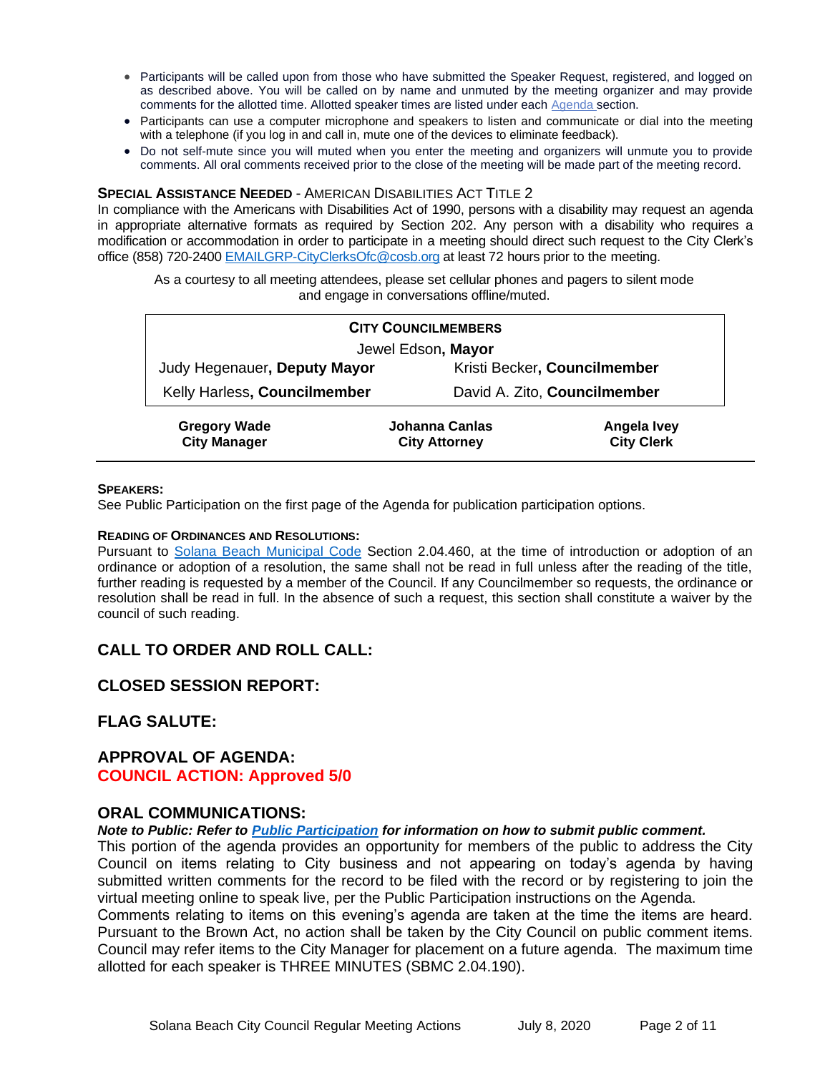- Participants will be called upon from those who have submitted the Speaker Request, registered, and logged on as described above. You will be called on by name and unmuted by the meeting organizer and may provide comments for the allotted time. Allotted speaker times are listed under eac[h Agenda s](https://urldefense.proofpoint.com/v2/url?u=https-3A__www.ci.solana-2Dbeach.ca.us_index.asp-3FSEC-3DF0F1200D-2D21C6-2D4A88-2D8AE1-2D0BC07C1A81A7-26Type-3DB-5FBASIC&d=DwMFaQ&c=euGZstcaTDllvimEN8b7jXrwqOf-v5A_CdpgnVfiiMM&r=1XAsCUuqwK_tji2t0s1uIQ&m=C7WzXfOw2_nkEFMJClT55zZsF4tmIf_7KTn0o1WpYqI&s=3DcsWExM2_nx_xpvFtXslUjphiXd0MDCCF18y_Qy5yU&e=)ection.
- Participants can use a computer microphone and speakers to listen and communicate or dial into the meeting with a telephone (if you log in and call in, mute one of the devices to eliminate feedback).
- Do not self-mute since you will muted when you enter the meeting and organizers will unmute you to provide comments. All oral comments received prior to the close of the meeting will be made part of the meeting record.

#### **SPECIAL ASSISTANCE NEEDED** - AMERICAN DISABILITIES ACT TITLE 2

In compliance with the Americans with Disabilities Act of 1990, persons with a disability may request an agenda in appropriate alternative formats as required by Section 202. Any person with a disability who requires a modification or accommodation in order to participate in a meeting should direct such request to the City Clerk's office (858) 720-2400 [EMAILGRP-CityClerksOfc@cosb.org](mailto:EMAILGRP-CityClerksOfc@cosb.org) at least 72 hours prior to the meeting.

As a courtesy to all meeting attendees, please set cellular phones and pagers to silent mode and engage in conversations offline/muted.

| <b>CITY COUNCILMEMBERS</b>                 |                                        |                                  |  |
|--------------------------------------------|----------------------------------------|----------------------------------|--|
| Jewel Edson, Mayor                         |                                        |                                  |  |
| Judy Hegenauer, Deputy Mayor               | Kristi Becker, Councilmember           |                                  |  |
| Kelly Harless, Councilmember               | David A. Zito, Councilmember           |                                  |  |
| <b>Gregory Wade</b><br><b>City Manager</b> | Johanna Canlas<br><b>City Attorney</b> | Angela Ivey<br><b>City Clerk</b> |  |

#### **SPEAKERS:**

See Public Participation on the first page of the Agenda for publication participation options.

#### **READING OF ORDINANCES AND RESOLUTIONS:**

Pursuant to [Solana Beach Municipal Code](mailto:https://www.codepublishing.com/CA/SolanaBeach/) Section 2.04.460, at the time of introduction or adoption of an ordinance or adoption of a resolution, the same shall not be read in full unless after the reading of the title, further reading is requested by a member of the Council. If any Councilmember so requests, the ordinance or resolution shall be read in full. In the absence of such a request, this section shall constitute a waiver by the council of such reading.

## **CALL TO ORDER AND ROLL CALL:**

## **CLOSED SESSION REPORT:**

## **FLAG SALUTE:**

## **APPROVAL OF AGENDA: COUNCIL ACTION: Approved 5/0**

#### **ORAL COMMUNICATIONS:**

*Note to Public: Refer to Public Participation for information on how to submit public comment.* 

This portion of the agenda provides an opportunity for members of the public to address the City Council on items relating to City business and not appearing on today's agenda by having submitted written comments for the record to be filed with the record or by registering to join the virtual meeting online to speak live, per the Public Participation instructions on the Agenda.

Comments relating to items on this evening's agenda are taken at the time the items are heard. Pursuant to the Brown Act, no action shall be taken by the City Council on public comment items. Council may refer items to the City Manager for placement on a future agenda. The maximum time allotted for each speaker is THREE MINUTES (SBMC 2.04.190).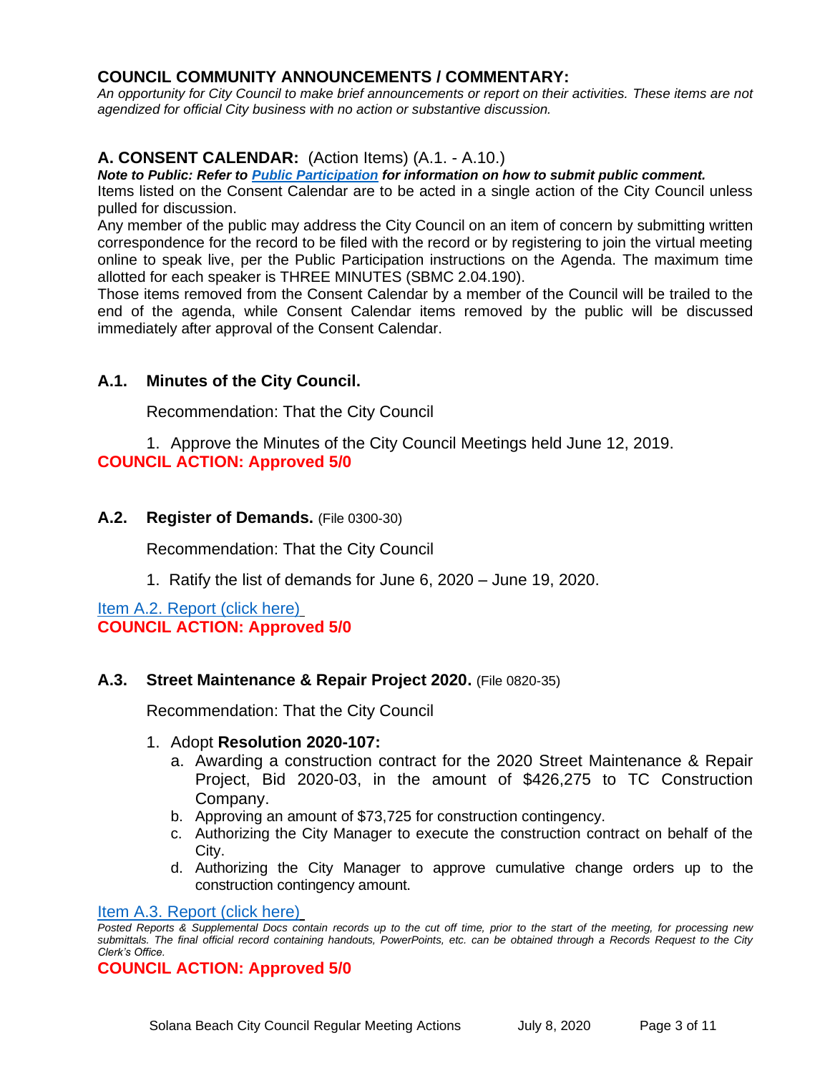# **COUNCIL COMMUNITY ANNOUNCEMENTS / COMMENTARY:**

*An opportunity for City Council to make brief announcements or report on their activities. These items are not agendized for official City business with no action or substantive discussion.* 

# **A. CONSENT CALENDAR:** (Action Items) (A.1. - A.10.)

*Note to Public: Refer to Public Participation for information on how to submit public comment.* 

Items listed on the Consent Calendar are to be acted in a single action of the City Council unless pulled for discussion.

Any member of the public may address the City Council on an item of concern by submitting written correspondence for the record to be filed with the record or by registering to join the virtual meeting online to speak live, per the Public Participation instructions on the Agenda. The maximum time allotted for each speaker is THREE MINUTES (SBMC 2.04.190).

Those items removed from the Consent Calendar by a member of the Council will be trailed to the end of the agenda, while Consent Calendar items removed by the public will be discussed immediately after approval of the Consent Calendar.

## **A.1. Minutes of the City Council.**

Recommendation: That the City Council

1. Approve the Minutes of the City Council Meetings held June 12, 2019. **COUNCIL ACTION: Approved 5/0**

## **A.2. Register of Demands.** (File 0300-30)

Recommendation: That the City Council

1. Ratify the list of demands for June 6, 2020 – June 19, 2020.

[Item A.2. Report \(click here\)](https://solanabeach.govoffice3.com/vertical/Sites/%7B840804C2-F869-4904-9AE3-720581350CE7%7D/uploads/Item_A.2._Report_(click_here)_07-08-20_-_O.pdf) **COUNCIL ACTION: Approved 5/0**

## **A.3. Street Maintenance & Repair Project 2020.** (File 0820-35)

Recommendation: That the City Council

#### 1. Adopt **Resolution 2020-107:**

- a. Awarding a construction contract for the 2020 Street Maintenance & Repair Project, Bid 2020-03, in the amount of \$426,275 to TC Construction Company.
- b. Approving an amount of \$73,725 for construction contingency.
- c. Authorizing the City Manager to execute the construction contract on behalf of the City.
- d. Authorizing the City Manager to approve cumulative change orders up to the construction contingency amount.

#### [Item A.3. Report \(click here\)](https://solanabeach.govoffice3.com/vertical/Sites/%7B840804C2-F869-4904-9AE3-720581350CE7%7D/uploads/Item_A.3._Report_(click_here)_07-08-20_-_O.pdf)

*Posted Reports & Supplemental Docs contain records up to the cut off time, prior to the start of the meeting, for processing new submittals. The final official record containing handouts, PowerPoints, etc. can be obtained through a Records Request to the City Clerk's Office.*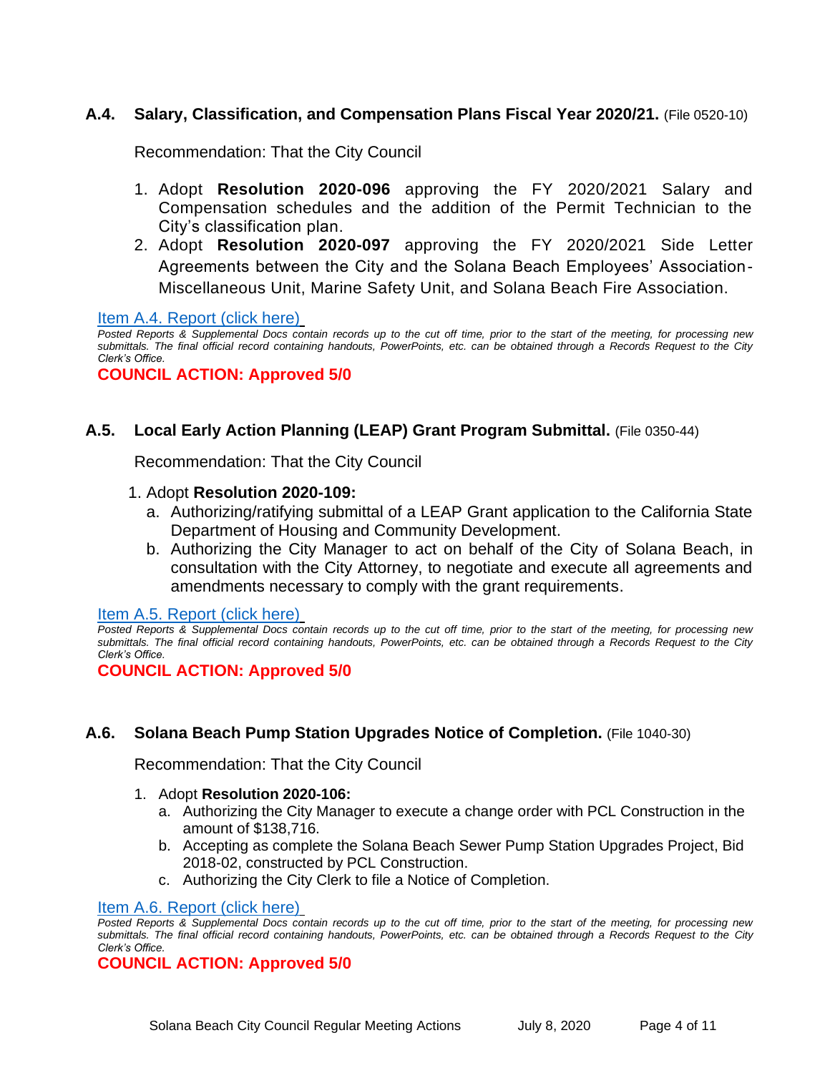# **A.4. Salary, Classification, and Compensation Plans Fiscal Year 2020/21.** (File 0520-10)

Recommendation: That the City Council

- 1. Adopt **Resolution 2020-096** approving the FY 2020/2021 Salary and Compensation schedules and the addition of the Permit Technician to the City's classification plan.
- 2. Adopt **Resolution 2020-097** approving the FY 2020/2021 Side Letter Agreements between the City and the Solana Beach Employees' Association-Miscellaneous Unit, Marine Safety Unit, and Solana Beach Fire Association.

[Item A.4. Report \(click here\)](https://solanabeach.govoffice3.com/vertical/Sites/%7B840804C2-F869-4904-9AE3-720581350CE7%7D/uploads/Item_A.4._Report_(click_here)_07-08-02-Att9_Placeholder_-_O.pdf)

*Posted Reports & Supplemental Docs contain records up to the cut off time, prior to the start of the meeting, for processing new submittals. The final official record containing handouts, PowerPoints, etc. can be obtained through a Records Request to the City Clerk's Office.*

**COUNCIL ACTION: Approved 5/0**

## **A.5. Local Early Action Planning (LEAP) Grant Program Submittal.** (File 0350-44)

Recommendation: That the City Council

#### 1. Adopt **Resolution 2020-109:**

- a. Authorizing/ratifying submittal of a LEAP Grant application to the California State Department of Housing and Community Development.
- b. Authorizing the City Manager to act on behalf of the City of Solana Beach, in consultation with the City Attorney, to negotiate and execute all agreements and amendments necessary to comply with the grant requirements.

[Item A.5. Report \(click here\)](https://solanabeach.govoffice3.com/vertical/Sites/%7B840804C2-F869-4904-9AE3-720581350CE7%7D/uploads/Item_A.5._Report_(click_here)_07-08-20_-_O.pdf)

**COUNCIL ACTION: Approved 5/0**

# **A.6. Solana Beach Pump Station Upgrades Notice of Completion.** (File 1040-30)

Recommendation: That the City Council

- 1. Adopt **Resolution 2020-106:**
	- a. Authorizing the City Manager to execute a change order with PCL Construction in the amount of \$138,716.
	- b. Accepting as complete the Solana Beach Sewer Pump Station Upgrades Project, Bid 2018-02, constructed by PCL Construction.
	- c. Authorizing the City Clerk to file a Notice of Completion.

#### [Item A.6. Report \(click here\)](https://solanabeach.govoffice3.com/vertical/Sites/%7B840804C2-F869-4904-9AE3-720581350CE7%7D/uploads/Item_A.6._Report_(click_here)_07-08-20_-_O.pdf)

*Posted Reports & Supplemental Docs contain records up to the cut off time, prior to the start of the meeting, for processing new submittals. The final official record containing handouts, PowerPoints, etc. can be obtained through a Records Request to the City Clerk's Office.*

*Posted Reports & Supplemental Docs contain records up to the cut off time, prior to the start of the meeting, for processing new submittals. The final official record containing handouts, PowerPoints, etc. can be obtained through a Records Request to the City Clerk's Office.*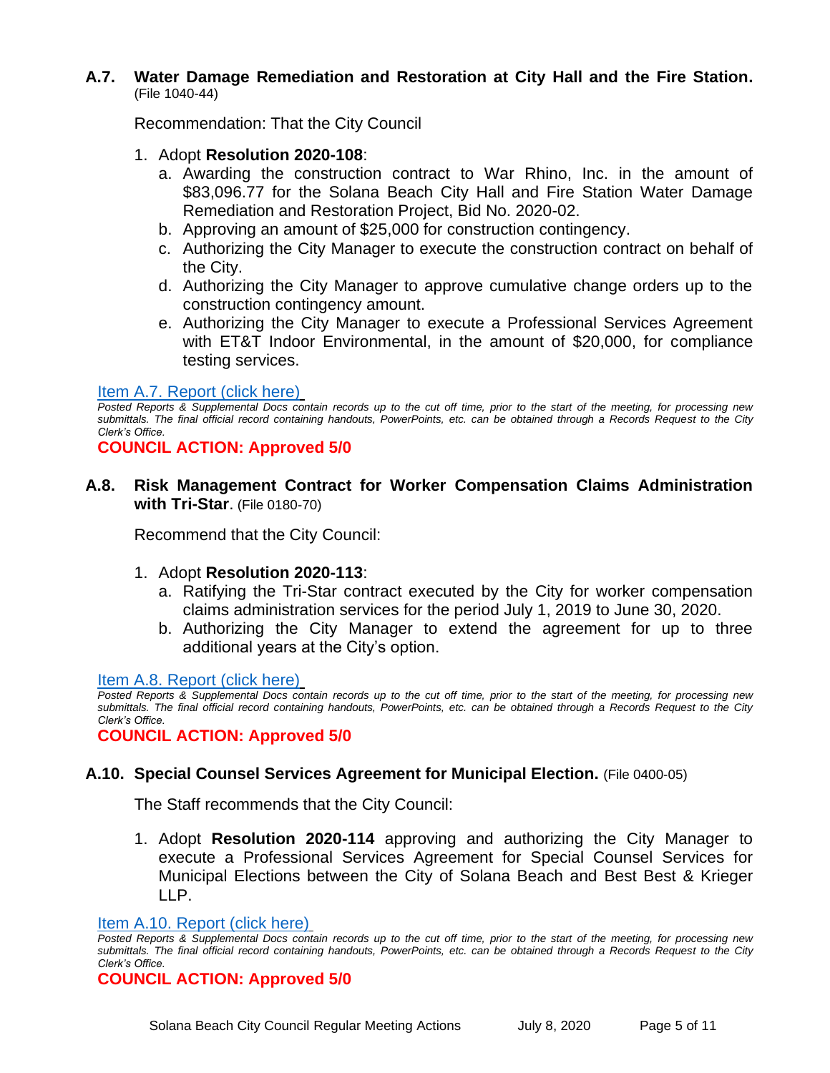## **A.7. Water Damage Remediation and Restoration at City Hall and the Fire Station.** (File 1040-44)

Recommendation: That the City Council

- 1. Adopt **Resolution 2020-108**:
	- a. Awarding the construction contract to War Rhino, Inc. in the amount of \$83,096.77 for the Solana Beach City Hall and Fire Station Water Damage Remediation and Restoration Project, Bid No. 2020-02.
	- b. Approving an amount of \$25,000 for construction contingency.
	- c. Authorizing the City Manager to execute the construction contract on behalf of the City.
	- d. Authorizing the City Manager to approve cumulative change orders up to the construction contingency amount.
	- e. Authorizing the City Manager to execute a Professional Services Agreement with ET&T Indoor Environmental, in the amount of \$20,000, for compliance testing services.

## [Item A.7. Report \(click here\)](https://solanabeach.govoffice3.com/vertical/Sites/%7B840804C2-F869-4904-9AE3-720581350CE7%7D/uploads/Item_A.7._Report_(click_here)_07-08-20_-_O.pdf)

*Posted Reports & Supplemental Docs contain records up to the cut off time, prior to the start of the meeting, for processing new submittals. The final official record containing handouts, PowerPoints, etc. can be obtained through a Records Request to the City Clerk's Office.*

**COUNCIL ACTION: Approved 5/0**

**A.8. Risk Management Contract for Worker Compensation Claims Administration with Tri-Star**. (File 0180-70)

Recommend that the City Council:

- 1. Adopt **Resolution 2020-113**:
	- a. Ratifying the Tri-Star contract executed by the City for worker compensation claims administration services for the period July 1, 2019 to June 30, 2020.
	- b. Authorizing the City Manager to extend the agreement for up to three additional years at the City's option.

[Item A.8. Report \(click here\)](https://solanabeach.govoffice3.com/vertical/Sites/%7B840804C2-F869-4904-9AE3-720581350CE7%7D/uploads/Item_A.8._Report_(click_here)_07-08-20.pdf)

*Posted Reports & Supplemental Docs contain records up to the cut off time, prior to the start of the meeting, for processing new submittals. The final official record containing handouts, PowerPoints, etc. can be obtained through a Records Request to the City Clerk's Office.*

**COUNCIL ACTION: Approved 5/0**

# **A.10. Special Counsel Services Agreement for Municipal Election.** (File 0400-05)

The Staff recommends that the City Council:

1. Adopt **Resolution 2020-114** approving and authorizing the City Manager to execute a Professional Services Agreement for Special Counsel Services for Municipal Elections between the City of Solana Beach and Best Best & Krieger LLP.

## [Item A.10. Report \(click here\)](https://solanabeach.govoffice3.com/vertical/Sites/%7B840804C2-F869-4904-9AE3-720581350CE7%7D/uploads/Item_A.10._Report_(click_here)_07-08-20_-_O.pdf)

*Posted Reports & Supplemental Docs contain records up to the cut off time, prior to the start of the meeting, for processing new submittals. The final official record containing handouts, PowerPoints, etc. can be obtained through a Records Request to the City Clerk's Office.*

**COUNCIL ACTION: Approved 5/0**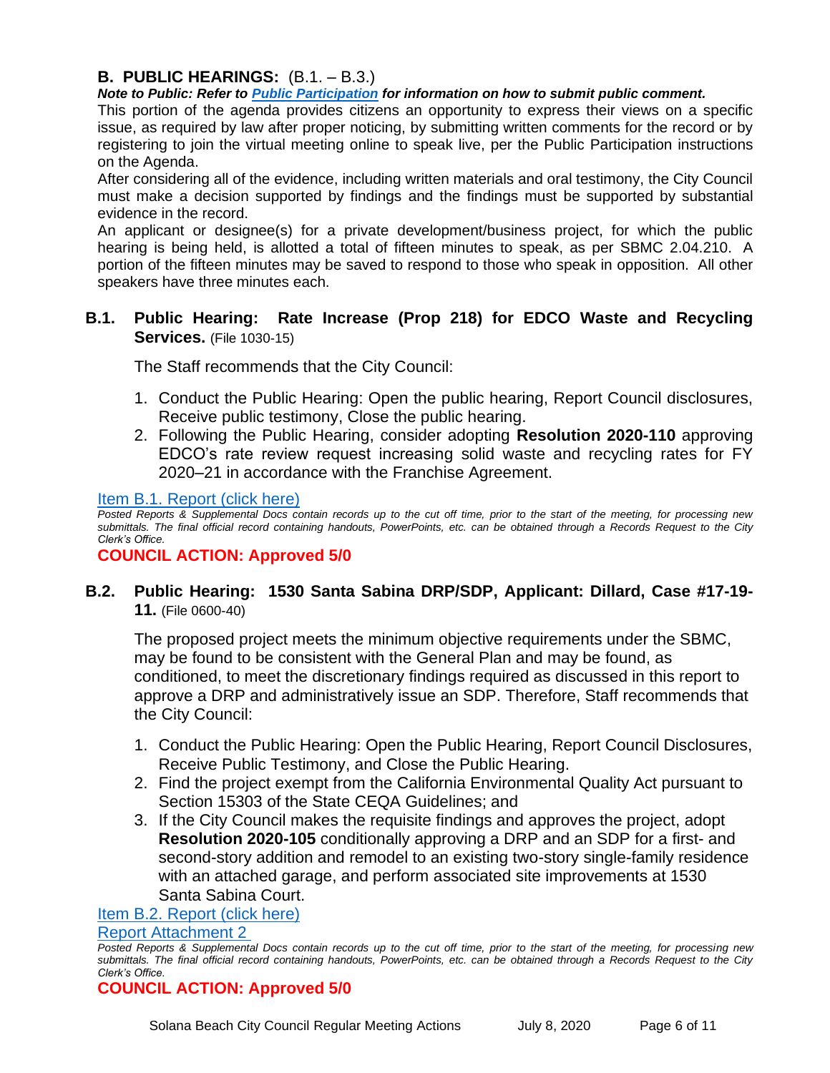# **B. PUBLIC HEARINGS:** (B.1. – B.3.)

*Note to Public: Refer to Public Participation for information on how to submit public comment.* 

This portion of the agenda provides citizens an opportunity to express their views on a specific issue, as required by law after proper noticing, by submitting written comments for the record or by registering to join the virtual meeting online to speak live, per the Public Participation instructions on the Agenda.

After considering all of the evidence, including written materials and oral testimony, the City Council must make a decision supported by findings and the findings must be supported by substantial evidence in the record.

An applicant or designee(s) for a private development/business project, for which the public hearing is being held, is allotted a total of fifteen minutes to speak, as per SBMC 2.04.210. A portion of the fifteen minutes may be saved to respond to those who speak in opposition. All other speakers have three minutes each.

# **B.1. Public Hearing: Rate Increase (Prop 218) for EDCO Waste and Recycling Services.** (File 1030-15)

The Staff recommends that the City Council:

- 1. Conduct the Public Hearing: Open the public hearing, Report Council disclosures, Receive public testimony, Close the public hearing.
- 2. Following the Public Hearing, consider adopting **Resolution 2020-110** approving EDCO's rate review request increasing solid waste and recycling rates for FY 2020–21 in accordance with the Franchise Agreement.

#### [Item B.1. Report \(click here\)](https://solanabeach.govoffice3.com/vertical/Sites/%7B840804C2-F869-4904-9AE3-720581350CE7%7D/uploads/Item_B.1._Report_(click_here)_07-08-20_-_O.pdf)

*Posted Reports & Supplemental Docs contain records up to the cut off time, prior to the start of the meeting, for processing new submittals. The final official record containing handouts, PowerPoints, etc. can be obtained through a Records Request to the City Clerk's Office.*

## **COUNCIL ACTION: Approved 5/0**

# **B.2. Public Hearing: 1530 Santa Sabina DRP/SDP, Applicant: Dillard, Case #17-19- 11.** (File 0600-40)

The proposed project meets the minimum objective requirements under the SBMC, may be found to be consistent with the General Plan and may be found, as conditioned, to meet the discretionary findings required as discussed in this report to approve a DRP and administratively issue an SDP. Therefore, Staff recommends that the City Council:

- 1. Conduct the Public Hearing: Open the Public Hearing, Report Council Disclosures, Receive Public Testimony, and Close the Public Hearing.
- 2. Find the project exempt from the California Environmental Quality Act pursuant to Section 15303 of the State CEQA Guidelines; and
- 3. If the City Council makes the requisite findings and approves the project, adopt **Resolution 2020-105** conditionally approving a DRP and an SDP for a first- and second-story addition and remodel to an existing two-story single-family residence with an attached garage, and perform associated site improvements at 1530 Santa Sabina Court.

#### [Item B.2. Report \(click here\)](https://solanabeach.govoffice3.com/vertical/Sites/%7B840804C2-F869-4904-9AE3-720581350CE7%7D/uploads/Item_B.2._Report_(click_here)_07-02-20_Part_1.pdf)

#### [Report Attachment 2](https://www.dropbox.com/sh/j51e0ip7j6s1s72/AACn8lpY4Xof-Mg6QqCNAKrTa?dl=0)

*Posted Reports & Supplemental Docs contain records up to the cut off time, prior to the start of the meeting, for processing new submittals. The final official record containing handouts, PowerPoints, etc. can be obtained through a Records Request to the City Clerk's Office.*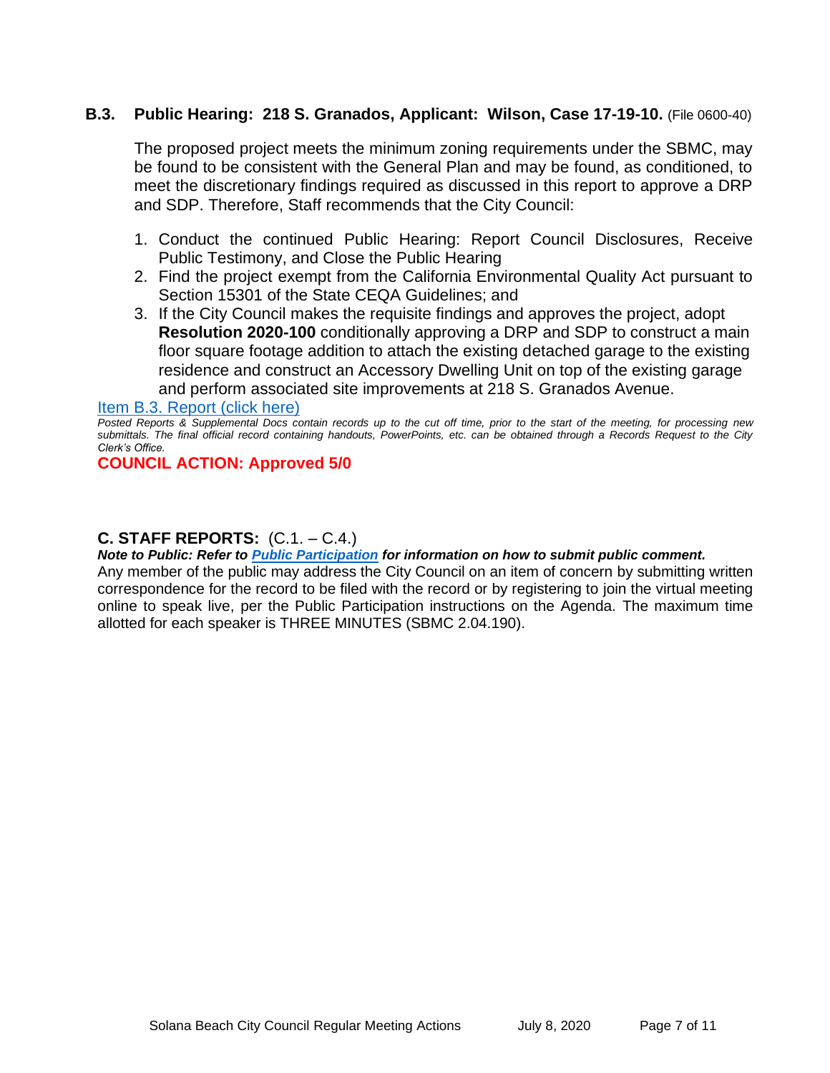# **B.3. Public Hearing: 218 S. Granados, Applicant: Wilson, Case 17-19-10.** (File 0600-40)

The proposed project meets the minimum zoning requirements under the SBMC, may be found to be consistent with the General Plan and may be found, as conditioned, to meet the discretionary findings required as discussed in this report to approve a DRP and SDP. Therefore, Staff recommends that the City Council:

- 1. Conduct the continued Public Hearing: Report Council Disclosures, Receive Public Testimony, and Close the Public Hearing
- 2. Find the project exempt from the California Environmental Quality Act pursuant to Section 15301 of the State CEQA Guidelines; and
- 3. If the City Council makes the requisite findings and approves the project, adopt **Resolution 2020-100** conditionally approving a DRP and SDP to construct a main floor square footage addition to attach the existing detached garage to the existing residence and construct an Accessory Dwelling Unit on top of the existing garage and perform associated site improvements at 218 S. Granados Avenue.

#### [Item B.3. Report \(click here\)](https://solanabeach.govoffice3.com/vertical/Sites/%7B840804C2-F869-4904-9AE3-720581350CE7%7D/uploads/Item_B.3._Report_(click_here)_07-08-20_-_O.pdf)

## **COUNCIL ACTION: Approved 5/0**

#### **C. STAFF REPORTS:** (C.1. – C.4.)

*Note to Public: Refer to Public Participation for information on how to submit public comment.* 

Any member of the public may address the City Council on an item of concern by submitting written correspondence for the record to be filed with the record or by registering to join the virtual meeting online to speak live, per the Public Participation instructions on the Agenda. The maximum time allotted for each speaker is THREE MINUTES (SBMC 2.04.190).

*Posted Reports & Supplemental Docs contain records up to the cut off time, prior to the start of the meeting, for processing new submittals. The final official record containing handouts, PowerPoints, etc. can be obtained through a Records Request to the City Clerk's Office.*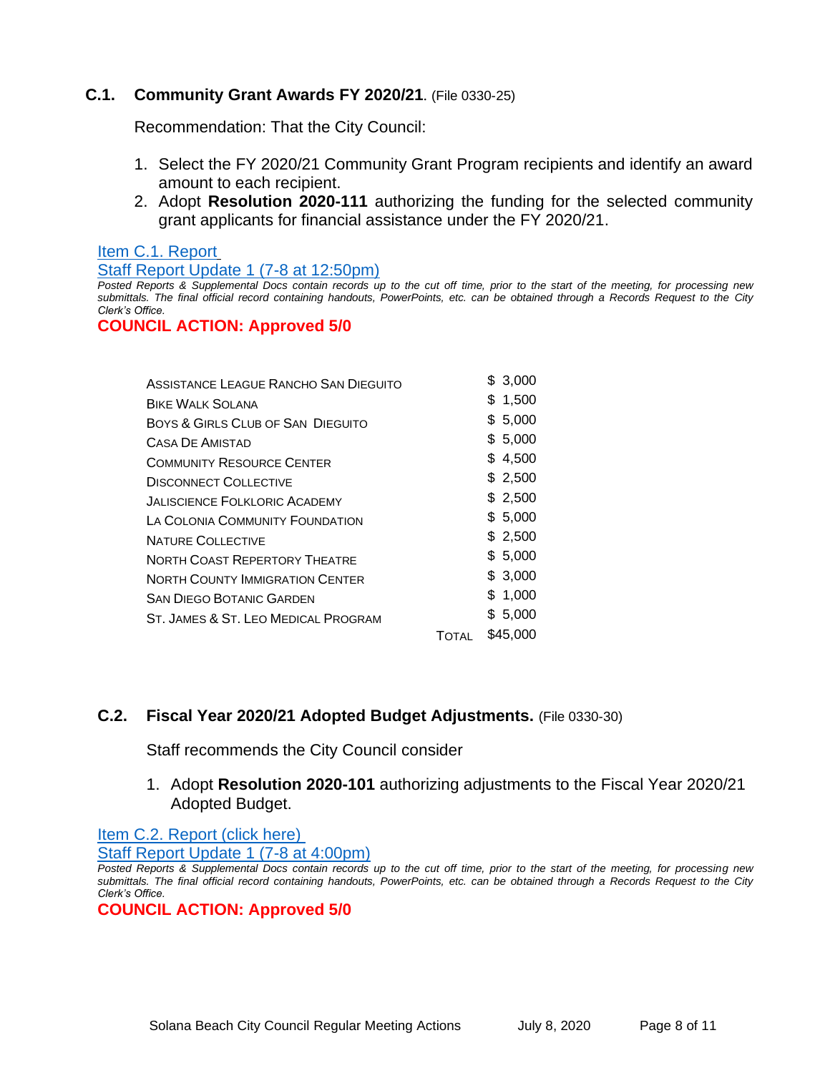# **C.1. Community Grant Awards FY 2020/21**. (File 0330-25)

Recommendation: That the City Council:

- 1. Select the FY 2020/21 Community Grant Program recipients and identify an award amount to each recipient.
- 2. Adopt **Resolution 2020-111** authorizing the funding for the selected community grant applicants for financial assistance under the FY 2020/21.

#### [Item C.1. Report](https://solanabeach.govoffice3.com/vertical/Sites/%7B840804C2-F869-4904-9AE3-720581350CE7%7D/uploads/Item_C.1._Report_(click_here)_07-08-20_-_O.pdf)

[Staff Report Update 1 \(7-8 at 12:50pm\)](https://solanabeach.govoffice3.com/vertical/Sites/%7B840804C2-F869-4904-9AE3-720581350CE7%7D/uploads/Item_C.1._Staff_Report_Update_1_(updated_7-8_at_1250pm)_-_O.pdf)

*Posted Reports & Supplemental Docs contain records up to the cut off time, prior to the start of the meeting, for processing new submittals. The final official record containing handouts, PowerPoints, etc. can be obtained through a Records Request to the City Clerk's Office.*

## **COUNCIL ACTION: Approved 5/0**

| \$3,000  |
|----------|
| \$1,500  |
| \$5,000  |
| \$5,000  |
| \$4,500  |
| \$2,500  |
| \$2,500  |
| \$5,000  |
| \$2,500  |
| \$5,000  |
| \$3,000  |
| \$1,000  |
| \$5,000  |
| \$45,000 |
|          |

# **C.2. Fiscal Year 2020/21 Adopted Budget Adjustments.** (File 0330-30)

Staff recommends the City Council consider

1. Adopt **Resolution 2020-101** authorizing adjustments to the Fiscal Year 2020/21 Adopted Budget.

[Item C.2. Report \(click here\)](https://solanabeach.govoffice3.com/vertical/Sites/%7B840804C2-F869-4904-9AE3-720581350CE7%7D/uploads/Item_C_.2._Report_(click_here)_07-80-20.pdf)

[Staff Report Update 1 \(7-8 at 4:00pm\)](https://www.dropbox.com/sh/ntgh39dvzpyfe9y/AADzfrDLj7IHoqVOPoPofnmFa?dl=0)

*Posted Reports & Supplemental Docs contain records up to the cut off time, prior to the start of the meeting, for processing new submittals. The final official record containing handouts, PowerPoints, etc. can be obtained through a Records Request to the City Clerk's Office.*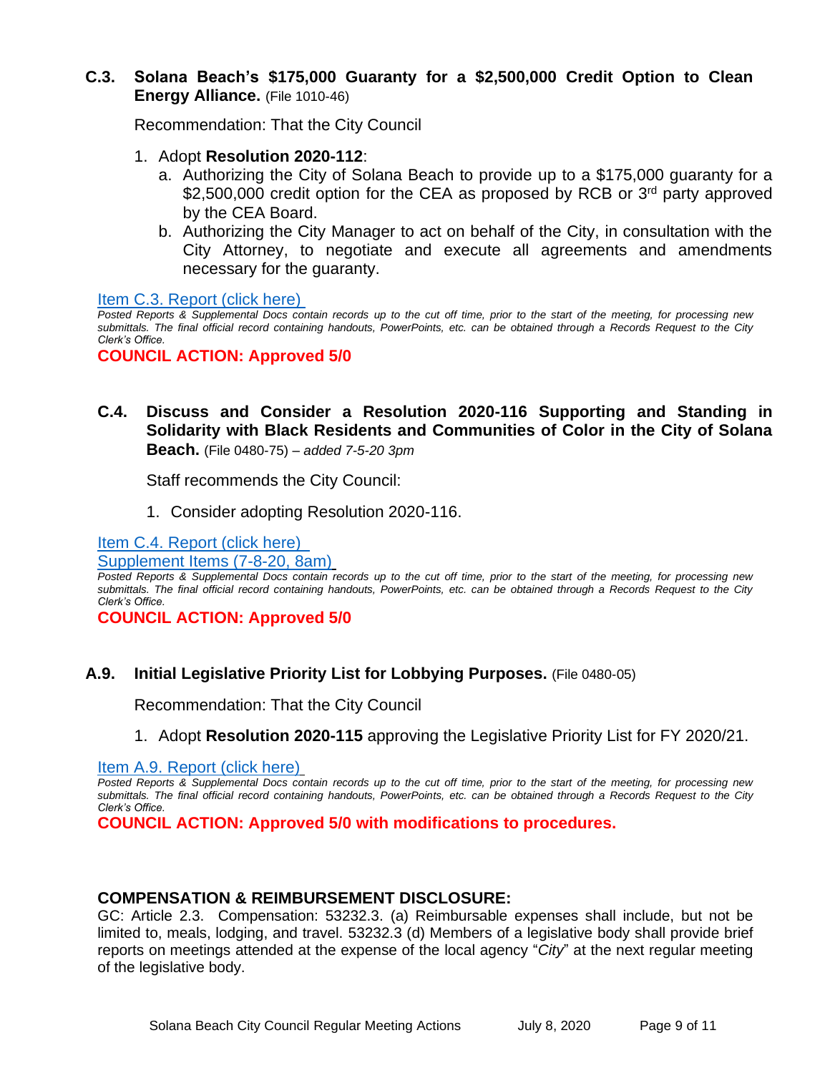# **C.3. Solana Beach's \$175,000 Guaranty for a \$2,500,000 Credit Option to Clean Energy Alliance.** (File 1010-46)

Recommendation: That the City Council

- 1. Adopt **Resolution 2020-112**:
	- a. Authorizing the City of Solana Beach to provide up to a \$175,000 guaranty for a \$2,500,000 credit option for the CEA as proposed by RCB or 3<sup>rd</sup> party approved by the CEA Board.
	- b. Authorizing the City Manager to act on behalf of the City, in consultation with the City Attorney, to negotiate and execute all agreements and amendments necessary for the guaranty.

Item C.3. Report (click here)

*Posted Reports & Supplemental Docs contain records up to the cut off time, prior to the start of the meeting, for processing new submittals. The final official record containing handouts, PowerPoints, etc. can be obtained through a Records Request to the City Clerk's Office.*

**COUNCIL ACTION: Approved 5/0**

# **C.4. Discuss and Consider a Resolution 2020-116 Supporting and Standing in Solidarity with Black Residents and Communities of Color in the City of Solana Beach.** (File 0480-75) – *added 7-5-20 3pm*

Staff recommends the City Council:

1. Consider adopting Resolution 2020-116.

[Item C.4. Report \(click here\)](https://solanabeach.govoffice3.com/vertical/Sites/%7B840804C2-F869-4904-9AE3-720581350CE7%7D/uploads/Item_C.4._Report_(click_here)_07-08-20_-_O.pdf) 

[Supplement Items \(7-8-20, 8am\)](https://www.dropbox.com/preview/Council%20Meetings/Staff%20Report%20Linked%20Documents/07-08-20%20Mtg/Blue%20Folders/C.4.%20Blue%20Folders/Item%20C.4.%20Supplemental%20Docs%20(Updated%207-8%20at%208am).pdf?role=personal)

*Posted Reports & Supplemental Docs contain records up to the cut off time, prior to the start of the meeting, for processing new submittals. The final official record containing handouts, PowerPoints, etc. can be obtained through a Records Request to the City Clerk's Office.*

**COUNCIL ACTION: Approved 5/0**

# **A.9. Initial Legislative Priority List for Lobbying Purposes.** (File 0480-05)

Recommendation: That the City Council

1. Adopt **Resolution 2020-115** approving the Legislative Priority List for FY 2020/21.

[Item A.9. Report \(click here\)](https://solanabeach.govoffice3.com/vertical/Sites/%7B840804C2-F869-4904-9AE3-720581350CE7%7D/uploads/Item_A.9._Report_(click_here)_07-08-20_-_O.pdf)

*Posted Reports & Supplemental Docs contain records up to the cut off time, prior to the start of the meeting, for processing new submittals. The final official record containing handouts, PowerPoints, etc. can be obtained through a Records Request to the City Clerk's Office.*

**COUNCIL ACTION: Approved 5/0 with modifications to procedures.** 

## **COMPENSATION & REIMBURSEMENT DISCLOSURE:**

GC: Article 2.3. Compensation: 53232.3. (a) Reimbursable expenses shall include, but not be limited to, meals, lodging, and travel. 53232.3 (d) Members of a legislative body shall provide brief reports on meetings attended at the expense of the local agency "*City*" at the next regular meeting of the legislative body.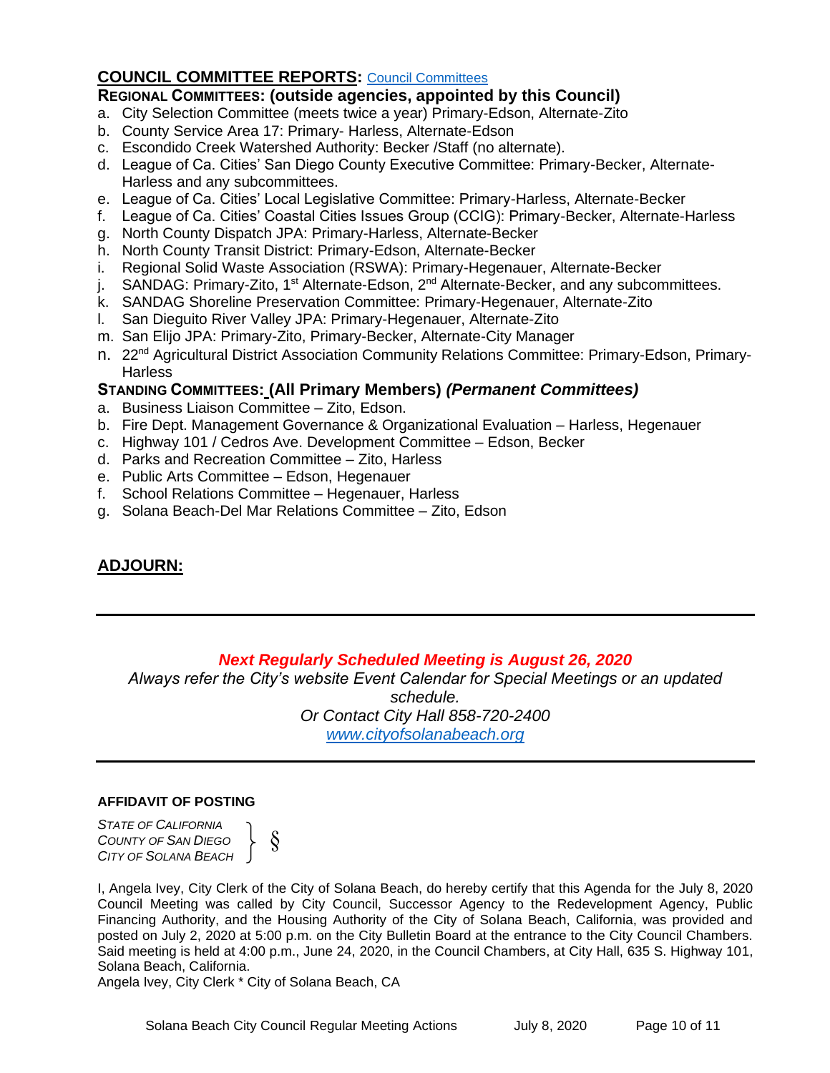# **COUNCIL COMMITTEE REPORTS:** [Council Committees](https://www.ci.solana-beach.ca.us/index.asp?SEC=584E1192-3850-46EA-B977-088AC3E81E0D&Type=B_BASIC)

## **REGIONAL COMMITTEES: (outside agencies, appointed by this Council)**

- a. City Selection Committee (meets twice a year) Primary-Edson, Alternate-Zito
- b. County Service Area 17: Primary- Harless, Alternate-Edson
- c. Escondido Creek Watershed Authority: Becker /Staff (no alternate).
- d. League of Ca. Cities' San Diego County Executive Committee: Primary-Becker, Alternate-Harless and any subcommittees.
- e. League of Ca. Cities' Local Legislative Committee: Primary-Harless, Alternate-Becker
- f. League of Ca. Cities' Coastal Cities Issues Group (CCIG): Primary-Becker, Alternate-Harless
- g. North County Dispatch JPA: Primary-Harless, Alternate-Becker
- h. North County Transit District: Primary-Edson, Alternate-Becker
- i. Regional Solid Waste Association (RSWA): Primary-Hegenauer, Alternate-Becker
- j. SANDAG: Primary-Zito, 1<sup>st</sup> Alternate-Edson, 2<sup>nd</sup> Alternate-Becker, and any subcommittees.
- k. SANDAG Shoreline Preservation Committee: Primary-Hegenauer, Alternate-Zito
- l. San Dieguito River Valley JPA: Primary-Hegenauer, Alternate-Zito
- m. San Elijo JPA: Primary-Zito, Primary-Becker, Alternate-City Manager
- n. 22<sup>nd</sup> Agricultural District Association Community Relations Committee: Primary-Edson, Primary-**Harless**

# **STANDING COMMITTEES: (All Primary Members)** *(Permanent Committees)*

- a. Business Liaison Committee Zito, Edson.
- b. Fire Dept. Management Governance & Organizational Evaluation Harless, Hegenauer
- c. Highway 101 / Cedros Ave. Development Committee Edson, Becker
- d. Parks and Recreation Committee Zito, Harless
- e. Public Arts Committee Edson, Hegenauer
- f. School Relations Committee Hegenauer, Harless
- g. Solana Beach-Del Mar Relations Committee Zito, Edson

# **ADJOURN:**

# *Next Regularly Scheduled Meeting is August 26, 2020*

*Always refer the City's website Event Calendar for Special Meetings or an updated schedule. Or Contact City Hall 858-720-2400 [www.cityofsolanabeach.org](http://www.cityofsolanabeach.org/)* 

## **AFFIDAVIT OF POSTING**

*STATE OF CALIFORNIA COUNTY OF SAN DIEGO CITY OF SOLANA BEACH*

§

I, Angela Ivey, City Clerk of the City of Solana Beach, do hereby certify that this Agenda for the July 8, 2020 Council Meeting was called by City Council, Successor Agency to the Redevelopment Agency, Public Financing Authority, and the Housing Authority of the City of Solana Beach, California, was provided and posted on July 2, 2020 at 5:00 p.m. on the City Bulletin Board at the entrance to the City Council Chambers. Said meeting is held at 4:00 p.m., June 24, 2020, in the Council Chambers, at City Hall, 635 S. Highway 101, Solana Beach, California.

Angela Ivey, City Clerk \* City of Solana Beach, CA